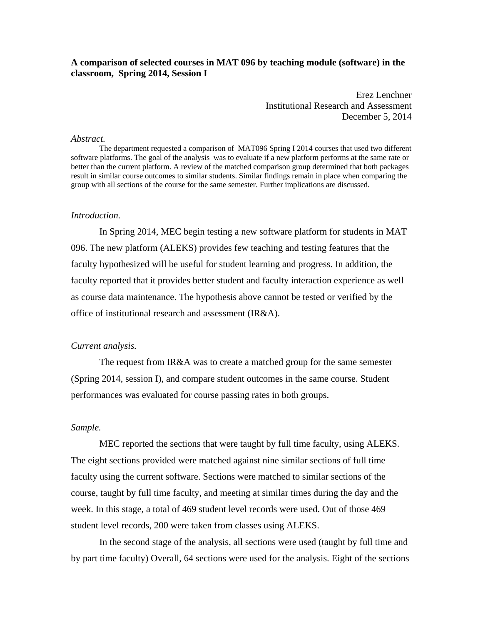## **A comparison of selected courses in MAT 096 by teaching module (software) in the classroom, Spring 2014, Session I**

Erez Lenchner Institutional Research and Assessment December 5, 2014

### *Abstract.*

 The department requested a comparison of MAT096 Spring I 2014 courses that used two different software platforms. The goal of the analysis was to evaluate if a new platform performs at the same rate or better than the current platform. A review of the matched comparison group determined that both packages result in similar course outcomes to similar students. Similar findings remain in place when comparing the group with all sections of the course for the same semester. Further implications are discussed.

#### *Introduction.*

In Spring 2014, MEC begin testing a new software platform for students in MAT 096. The new platform (ALEKS) provides few teaching and testing features that the faculty hypothesized will be useful for student learning and progress. In addition, the faculty reported that it provides better student and faculty interaction experience as well as course data maintenance. The hypothesis above cannot be tested or verified by the office of institutional research and assessment (IR&A).

#### *Current analysis.*

The request from IR&A was to create a matched group for the same semester (Spring 2014, session I), and compare student outcomes in the same course. Student performances was evaluated for course passing rates in both groups.

## *Sample.*

MEC reported the sections that were taught by full time faculty, using ALEKS. The eight sections provided were matched against nine similar sections of full time faculty using the current software. Sections were matched to similar sections of the course, taught by full time faculty, and meeting at similar times during the day and the week. In this stage, a total of 469 student level records were used. Out of those 469 student level records, 200 were taken from classes using ALEKS.

In the second stage of the analysis, all sections were used (taught by full time and by part time faculty) Overall, 64 sections were used for the analysis. Eight of the sections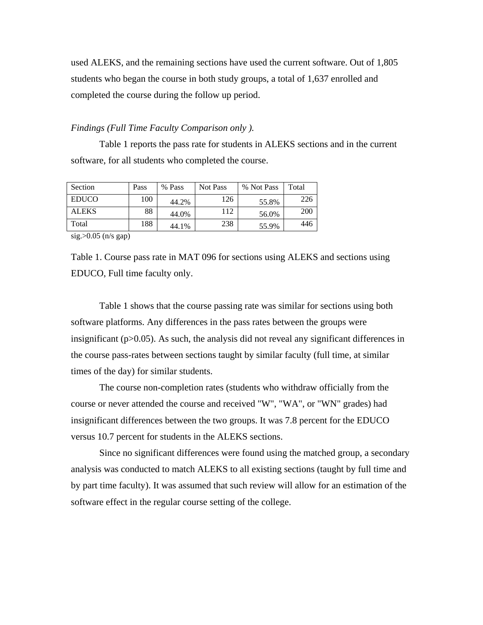used ALEKS, and the remaining sections have used the current software. Out of 1,805 students who began the course in both study groups, a total of 1,637 enrolled and completed the course during the follow up period.

## *Findings (Full Time Faculty Comparison only ).*

Table 1 reports the pass rate for students in ALEKS sections and in the current software, for all students who completed the course.

| Section      | Pass | % Pass | Not Pass | % Not Pass | Total |
|--------------|------|--------|----------|------------|-------|
| <b>EDUCO</b> | 100  | 44.2%  | 126      | 55.8%      | 226   |
| <b>ALEKS</b> | 88   | 44.0%  | 112      | 56.0%      | 200   |
| Total        | 188  | 44.1%  | 238      | 55.9%      | 446   |

[sig.>0.05](https://sig.>0.05) (n/s gap)

Table 1. Course pass rate in MAT 096 for sections using ALEKS and sections using EDUCO, Full time faculty only.

Table 1 shows that the course passing rate was similar for sections using both software platforms. Any differences in the pass rates between the groups were insignificant ( $p > 0.05$ ). As such, the analysis did not reveal any significant differences in the course pass-rates between sections taught by similar faculty (full time, at similar times of the day) for similar students.

The course non-completion rates (students who withdraw officially from the course or never attended the course and received "W", "WA", or "WN" grades) had insignificant differences between the two groups. It was 7.8 percent for the EDUCO versus 10.7 percent for students in the ALEKS sections.

Since no significant differences were found using the matched group, a secondary analysis was conducted to match ALEKS to all existing sections (taught by full time and by part time faculty). It was assumed that such review will allow for an estimation of the software effect in the regular course setting of the college.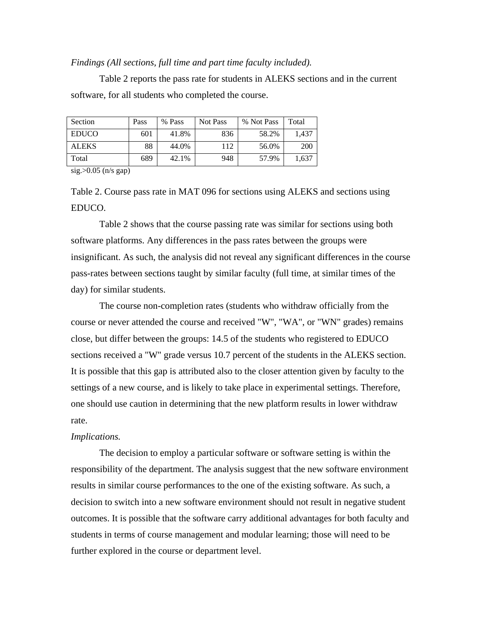## *Findings (All sections, full time and part time faculty included).*

Table 2 reports the pass rate for students in ALEKS sections and in the current software, for all students who completed the course.

| Section      | Pass | % Pass | Not Pass | % Not Pass | Total |
|--------------|------|--------|----------|------------|-------|
| <b>EDUCO</b> | 601  | 41.8%  | 836      | 58.2%      | 1.437 |
| <b>ALEKS</b> | 88   | 44.0%  | 112      | 56.0%      | 200   |
| Total        | 689  | 42.1%  | 948      | 57.9%      | 1.637 |

[sig.>0.05](https://sig.>0.05) (n/s gap)

Table 2. Course pass rate in MAT 096 for sections using ALEKS and sections using EDUCO.

Table 2 shows that the course passing rate was similar for sections using both software platforms. Any differences in the pass rates between the groups were insignificant. As such, the analysis did not reveal any significant differences in the course pass-rates between sections taught by similar faculty (full time, at similar times of the day) for similar students.

The course non-completion rates (students who withdraw officially from the course or never attended the course and received "W", "WA", or "WN" grades) remains close, but differ between the groups: 14.5 of the students who registered to EDUCO sections received a "W" grade versus 10.7 percent of the students in the ALEKS section. It is possible that this gap is attributed also to the closer attention given by faculty to the settings of a new course, and is likely to take place in experimental settings. Therefore, one should use caution in determining that the new platform results in lower withdraw rate.

### *Implications.*

The decision to employ a particular software or software setting is within the responsibility of the department. The analysis suggest that the new software environment results in similar course performances to the one of the existing software. As such, a decision to switch into a new software environment should not result in negative student outcomes. It is possible that the software carry additional advantages for both faculty and students in terms of course management and modular learning; those will need to be further explored in the course or department level.